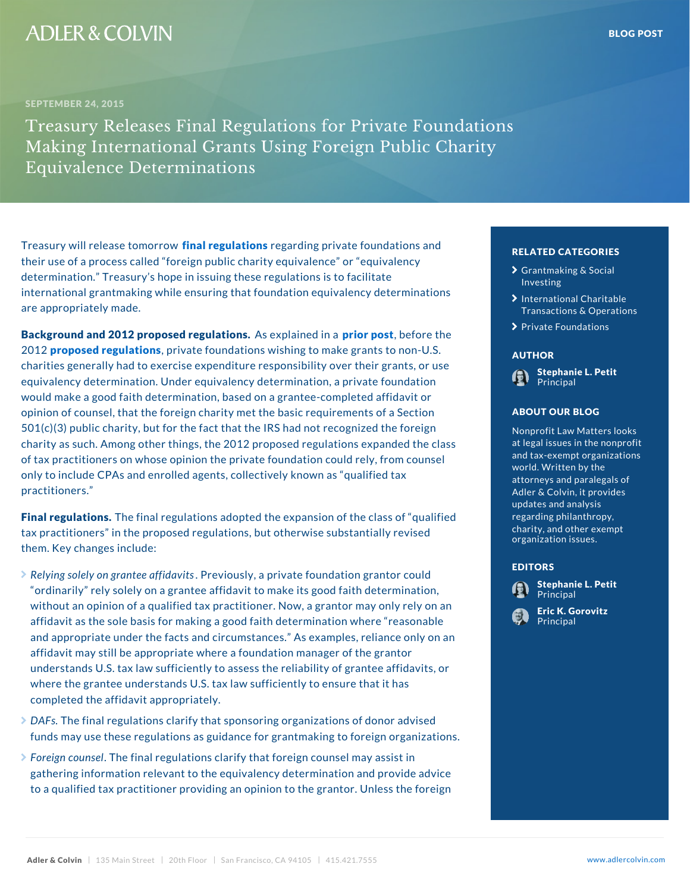Treasury will releassented mengruolwarte gasding private foundati their use of a process called foreign public charity equivalent and the same process of  $\mathbf{r}$ determination. Treasury s hope in issuing these regulat international grantmaking while ensuring that foundation are appropriately made.

Background and 2012 proposAesd ernegualian tendiniosm poble fore the 201 aroposed regulations at foundations wishing to make g charities generally had to exercise expenditure responsition stephenical potitions, equivalency determination. Under equivalency determination attication, and a principal would make a good faith determination, based on a granteer and the little affinite affinite affinite affinite opinion of counsel, that the foreign charity met the basic ABOUT OUR BLOG sec  $501(c)(3)$  public charity, but for the fact that the IRS had charity as such. Among other things, the 2012 proposed of tax practitioners on whose opinion the private founda only to include CPAs and enrolled agents, collectively k practitioners.

Final regulations in all regulations adopted the expansion tax practitioners in the proposed regulations, but other them. Key changes include:

- $\blacktriangleright$  Relying solely on granPtreeeviaofufsidya,viatsprivate foundation g ordinarily rely solely on a grantee affidavit to make i without an opinion of a qualified tax practitioner. Now, a grant concentry ely affidavit as the sole basis for making a good faith determination and reasonable reasonable reasonable reasonable reasonable reasonable reasonable reasonable reasonable reasonable reasonable reasonable reasonable reasonab and appropriate under the facts and circumstances. As examples, reliance on an analyze only only only only only affidavit may still be appropriate where a foundation m understands U.S. tax law sufficiently to assess the religional contractions and identified affidavite affidavi where the grantee understands  $U.S.$  tax law sufficiently completed the affidavit appropriately.
- $\blacktriangleright$  DAFsThe final regulations clarify that sponsoring organizations of donor advised  $\blacktriangleright$ funds may use these regulations as guidance for grantraking to formula to formula to foreign organizations.
- $\blacktriangleright$  Foreign colheeflinal requlations clarify that foreign cou gathering information relevant to the equivalency determination and provide advice advice advice advice advice to a qualified tax practitioner providing an opinion to the grantor. Unless the foreign

## RELATED CATEGORIE

- > [Grantmaking &](�� h t t p s : / / w w w . a d l e r c o l v i n . c o m / b l o g / c a t e g o r y / g r a n t m a k i n g - s o c i a l - i n v e s t i n g /) Socia [Inves](�� h t t p s : / / w w w . a d l e r c o l v i n . c o m / b l o g / c a t e g o r y / g r a n t m a k i n g - s o c i a l - i n v e s t i n g /)ting
- $\lambda$  [International C](�� h t t p s : / / w w w . a d l e r c o l v i n . c o m / b l o g / c a t e g o r y / i n t e r n a t i o n a l - c h a r i t a b l e - t r a n s a c t i o n s - o p e r a t i o n s /)haritana [Transactions & O](�� h t t p s : / / w w w . a d l e r c o l v i n . c o m / b l o g / c a t e g o r y / i n t e r n a t i o n a l - c h a r i t a b l e - t r a n s a c t i o n s - o p e r a t i o n s /)per
- [Private Foun](�� h t t p s : / / w w w . a d l e r c o l v i n . c o m / b l o g / c a t e g o r y / p r i v a t e - f o u n d a t i o n s /)dations

### AUTHOR

[Stephanie L](�� h t t p s : / / w w w . a d l e r c o l v i n . c o m / s t e p h a n i e - l - p e t i t /). Petit Principal

# ABOUT OUR BLOG

Nonprofit Law Matters fo at legal issues in the  $\begin{array}{c} \hline \end{array}$ and tax-exempt organ<sub>co</sub> world. Written by the attorneys and paraleg<sup>x</sup> Adler & Colvin, it pro updates and analysis regarding philanthropfie charity, and other  $ex_{vis}$ organization issues.

#### EDITORS